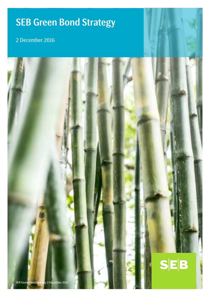# SEB Green Bond Strategy

# 2 December 2016

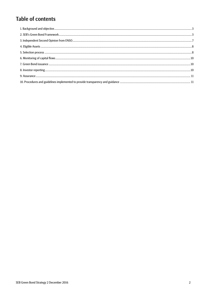## **Table of contents**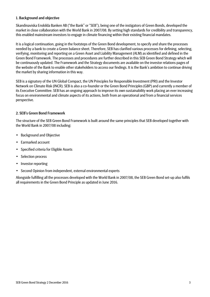#### 1. Background and objective

Skandinaviska Enskilda Banken AB ("the Bank" or "SEB"), being one of the instigators of Green Bonds, developed the market in close collaboration with the World Bank in 2007/08. By setting high standards for credibility and transparency, this enabled mainstream investors to engage in climate financing within their existing financial mandates.

It is a logical continuation, going in the footsteps of the Green Bond development, to specify and share the processes needed by a bank to create a Green balance sheet. Therefore, SEB has clarified various processes for defining, selecting, verifying, monitoring and reporting on a Green Asset and Liability Management (ALM) as identified and defined in the Green Bond Framework. The processes and procedures are further described in this SEB Green Bond Strategy which will be continuously updated. The Framework and the Strategy documents are available on the investor relations pages of the website of the Bank to enable other stakeholders to access our findings. It is the Bank's ambition to continue driving the market by sharing information in this way.

SEB is a signatory of the UN Global Compact, the UN Principles for Responsible Investment (PRI) and the Investor Network on Climate Risk (INCR). SEB is also a co-founder or the Green Bond Principles (GBP) and currently a member of its Executive Committee. SEB has an ongoing approach to improve its own sustainability work placing an ever increasing focus on environmental and climate aspects of its actions, both from an operational and from a financial services perspective.

#### 2. SEB's Green Bond Framework

The structure of the SEB Green Bond Framework is built around the same principles that SEB developed together with the World Bank in 2007/08 including:

- Background and Objective
- Earmarked account
- Specified criteria for Eligible Assets
- Selection process
- Investor reporting
- Second Opinion from independent, external environmental experts

Alongside fulfilling all the processes developed with the World Bank in 2007/08, the SEB Green Bond set-up also fulfils all requirements in the Green Bond Principle as updated in June 2016.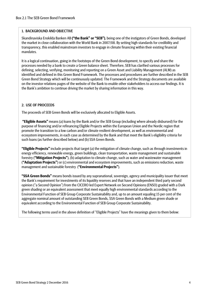#### 1. BACKGROUND AND OBJECTIVE

Skandinaviska Enskilda Banken AB **("the Bank" or "SEB")**, being one of the instigators of Green Bonds, developed the market in close collaboration with the World Bank in 2007/08. By setting high standards for credibility and transparency, this enabled mainstream investors to engage in climate financing within their existing financial mandates.

It is a logical continuation, going in the footsteps of the Green Bond development, to specify and share the processes needed by a bank to create a Green balance sheet. Therefore, SEB has clarified various processes for defining, selecting, verifying, monitoring and reporting on a Green Asset and Liability Management (ALM) as identified and defined in this Green Bond Framework. The processes and procedures are further described in the SEB Green Bond Strategy which will be continuously updated. The Framework and the Strategy documents are available on the investor relations pages of the website of the Bank to enable other stakeholders to access our findings. It is the Bank's ambition to continue driving the market by sharing information in this way.

#### 2. USE OF PROCEEDS

The proceeds of SEB Green Bonds will be exclusively allocated to Eligible Assets.

 **"Eligible Assets"** means (a) loans by the Bank and/or the SEB Group (including where already disbursed) for the purpose of financing and/or refinancing Eligible Projects within the European Union and the Nordic region that promote the transition to a low carbon and/or climate resilient development, as well as environmental and ecosystem improvements, in each case as determined by the Bank and that meet the Bank's eligibility criteria for such loans (as further described below) and (b) SSA Green Bonds.

**"Eligible Projects"** include projects that target (a) the mitigation of climate change, such as through investments in energy efficiency, renewable energy, green buildings, clean transportation, waste management and sustainable forestry (**"Mitigation Projects"**), (b) adaptation to climate change, such as water and wastewater management (**"Adaptation Projects"**) or (c) environmental and ecosystem improvements, such as emissions reduction, waste management and sustainable forestry (**"Environmental Projects"**).

**"SSA Green Bonds"** means bonds issued by any supranational, sovereign, agency and municipality issuer that meet the Bank's requirement for investments of its liquidity reserves and that have an independent third party second opinion ("a Second Opinion") from the CICERO led Expert Network on Second Opinions (ENSO) graded with a Dark green shading or an equivalent assessment that meet equally high environmental standards according to the Environmental Function of SEB Group Corporate Sustainability and, up to an amount equaling 15 per cent of the aggregate nominal amount of outstanding SEB Green Bonds, SSA Green Bonds with a Medium green shade or equivalent according to the Environmental Function of SEB Group Corporate Sustainability.

The following terms used in the above definition of "Eligible Projects" have the meanings given to them below: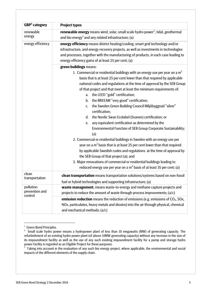| GBP <sup>1</sup> category              | <b>Project types</b>                                                                                                                                                                                                                                                                                                                                                                                                                                                                                                                                                                                                                                                                       |  |  |  |  |  |
|----------------------------------------|--------------------------------------------------------------------------------------------------------------------------------------------------------------------------------------------------------------------------------------------------------------------------------------------------------------------------------------------------------------------------------------------------------------------------------------------------------------------------------------------------------------------------------------------------------------------------------------------------------------------------------------------------------------------------------------------|--|--|--|--|--|
| renewable<br>energy                    | renewable energy means wind, solar, small scale hydro power <sup>2</sup> , tidal, geothermal<br>and bio energy <sup>3</sup> and any related infrastructure; (a)                                                                                                                                                                                                                                                                                                                                                                                                                                                                                                                            |  |  |  |  |  |
| energy efficiency                      | energy efficiency means district heating/cooling, smart grid technology and/or<br>infrastructure, and energy recovery projects, as well as investments in technologies<br>and processes, together with the manufacturing of products, in each case leading to<br>energy efficiency gains of at least 25 per cent; (a)                                                                                                                                                                                                                                                                                                                                                                      |  |  |  |  |  |
|                                        | green buildings means:                                                                                                                                                                                                                                                                                                                                                                                                                                                                                                                                                                                                                                                                     |  |  |  |  |  |
|                                        | 1. Commercial or residential buildings with an energy use per year on a $m2$<br>basis that is at least 25 per cent lower than that required by applicable<br>national codes and regulations at the time of approval by the SEB Group<br>of that project and that meet at least the minimum requirements of:<br>the LEED "gold" certification;<br>a.<br>the BREEAM "very good" certification;<br>b.<br>the Sweden Green Building Council Miljöbyggnad "silver"<br>$C_{1}$<br>certification;<br>the Nordic Swan Ecolabel (Svanen) certification; or<br>d.<br>any equivalent certification as determined by the<br>e.<br>Environmental Function of SEB Group Corporate Sustainability;<br>(a) |  |  |  |  |  |
|                                        | 2. Commercial or residential buildings in Sweden with an energy use per<br>year on a $m2$ basis that is at least 25 per cent lower than that required<br>by applicable Swedish codes and regulations at the time of approval by                                                                                                                                                                                                                                                                                                                                                                                                                                                            |  |  |  |  |  |
|                                        | the SEB Group of that project (a); and                                                                                                                                                                                                                                                                                                                                                                                                                                                                                                                                                                                                                                                     |  |  |  |  |  |
|                                        | 3. Major renovations of commercial or residential buildings leading to<br>reduced energy use per year on a $m^2$ basis of at least 35 per cent; (a)                                                                                                                                                                                                                                                                                                                                                                                                                                                                                                                                        |  |  |  |  |  |
| clean<br>transportation                | clean transportation means transportation solutions/systems based on non-fossil<br>fuel or hybrid technologies and supporting infrastructure; (a)                                                                                                                                                                                                                                                                                                                                                                                                                                                                                                                                          |  |  |  |  |  |
| pollution<br>prevention and<br>control | waste management, means waste-to-energy and methane capture projects and<br>projects to reduce the amount of waste through process improvements; (a/c)                                                                                                                                                                                                                                                                                                                                                                                                                                                                                                                                     |  |  |  |  |  |
|                                        | emission reduction means the reduction of emissions (e.g. emissions of $CO2$ , SOx,<br>NOx, particulates, heavy metals and dioxins) into the air through physical, chemical<br>and mechanical methods; $(a/c)$                                                                                                                                                                                                                                                                                                                                                                                                                                                                             |  |  |  |  |  |

<sup>&</sup>lt;sup>1</sup> Green Bond Principles.

 $=$ 

 $2$  Small scale hydro power means a hydropower plant of less than 10 megawatts (MW) of generating capacity. The refurbishment of an existing hydro power plant (of above 10MW generating capacity) without any increase in the size of its impoundment facility as well as the use of any such existing impoundment facility for a pump and storage hydro power facility is regarded as an Eligible Project for these purposes.<br><sup>3</sup> Taking into account in the ovaluation of any such bio energy pr

Taking into account in the evaluation of any such bio energy project, where applicable, the environmental and social impacts of the different elements of the supply chain.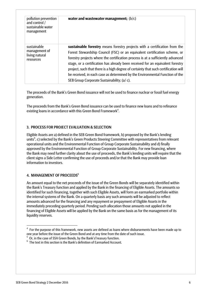| pollution prevention<br>and control /<br>sustainable water<br>management | water and wastewater management; $(b/c)$                                                                                                                                                                                                                                                                                                                                                                                                                                                                                                           |  |  |  |  |
|--------------------------------------------------------------------------|----------------------------------------------------------------------------------------------------------------------------------------------------------------------------------------------------------------------------------------------------------------------------------------------------------------------------------------------------------------------------------------------------------------------------------------------------------------------------------------------------------------------------------------------------|--|--|--|--|
| sustainable<br>management of<br>living natural<br>resources              | sustainable forestry means forestry projects with a certification from the<br>Forest Stewardship Council (FSC) or an equivalent certification scheme, or<br>forestry projects where the certification process is at a sufficiently advanced<br>stage, or a certification has already been received for an equivalent forestry<br>project, such that there is a high degree of certainty that such certification will<br>be received, in each case as determined by the Environmental Function of the<br>SEB Group Corporate Sustainability; (a/c). |  |  |  |  |

The proceeds of the Bank's Green Bond issuance will not be used to finance nuclear or fossil fuel energy generation.

The proceeds from the Bank's Green Bond issuance can be used to finance new loans and to refinance existing loans in accordance with this Green Bond Framework<sup>4</sup>.

#### 3. PROCESS FOR PROJECT EVALUATION & SELECTION

Eligible Assets are a) defined in the SEB Green Bond framework, b) proposed by the Bank's lending units<sup>5</sup>, c) selected by the Bank's Green Products Steering Committee with representatives from relevant operational units and the Environmental Function of Group Corporate Sustainability and d) finally approved by the Environmental Function of Group Corporate Sustainability. For new financing, where the Bank may need further clarity about the use of proceeds, the Bank's lending units will require that the client signs a Side Letter confirming the use of proceeds and/or that the Bank may provide loan information to investors.

#### 4. MANAGEMENT OF PROCEEDS<sup>6</sup>

=================================================

An amount equal to the net proceeds of the issue of the Green Bonds will be separately identified within the Bank's Treasury function and applied by the Bank in the financing of Eligible Assets. The amounts so identified for such financing, together with such Eligible Assets, will form an earmarked portfolio within the internal systems of the Bank. On a quarterly basis any such amounts will be adjusted to reflect amounts advanced for the financing and any repayment or prepayment of Eligible Assets in the immediately preceding quarterly period. Pending such allocation those amounts not applied in the financing of Eligible Assets will be applied by the Bank on the same basis as for the management of its liquidity reserves.

<sup>&</sup>lt;sup>4</sup> For the purpose of this framework, new assets are defined as loans where disbursements have been made up to one year before the issue of the Green Bond and at any time from the date of such issue.

 $5$  Or, in the case of SSA Green Bonds, by the Bank's Treasury function.

 $6$  The text in this section is the Bank's definition of Earmarked Account.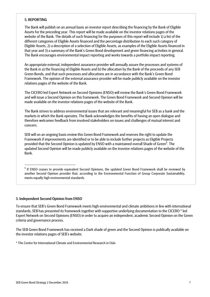#### 5. REPORTING

The Bank will publish on an annual basis an investor report describing the financing by the Bank of Eligible Assets for the preceding year. This report will be made available on the investor relations pages of the website of the Bank. The details of such financing for the purposes of this report will include 1) a list of the different categories of Eligible Assets financed and the percentage distribution to each such category of Eligible Assets, 2) a description of a selection of Eligible Assets, as examples of the Eligible Assets financed in that year and 3) a summary of the Bank's Green Bond development and green financing activities in general. The Bank encourages environmental impact reporting and works towards a portfolio impact reporting.

An appropriate external, independent assurance provider will annually assure the processes and systems of the Bank in a) the financing of Eligible Assets and b) the allocation by the Bank of the proceeds of any SEB Green Bonds, and that such processes and allocations are in accordance with the Bank's Green Bond Framework. The opinion of the external assurance provider will be made publicly available on the investor relations pages of the website of the Bank.

The CICERO led Expert Network on Second Opinions (ENSO) will review the Bank's Green Bond Framework and will issue a Second Opinion on this framework. The Green Bond Framework and Second Opinion will be made available on the investor relations pages of the website of the Bank.

The Bank strives to address environmental issues that are relevant and meaningful for SEB as a bank and the markets in which the Bank operates. The Bank acknowledges the benefits of having an open dialogue and therefore welcomes feedback from involved stakeholders on issues and challenges of mutual interest and concern.

SEB will on an ongoing basis review this Green Bond Framework and reserves the right to update the Framework if improvements are identified or to be able to include further projects as Eligible Projects provided that the Second Opinion is updated by ENSO with a maintained overall Shade of Green<sup>6</sup>. The updated Second Opinion will be made publicly available on the investor relations pages of the website of the Bank.

#### 3. Independent Second Opinion from ENSO

 $=$ 

To ensure that SEB's Green Bond Framework meets high environmental and climate ambitions in line with international standards, SEB has presented its framework together with supportive underlying documentation to the CICERO \* led Expert Network on Second Opinions (ENSO) in order to acquire an independent, academic Second Opinion on the Green criteria and governance process.

The SEB Green Bond Framework has received a Dark shade of green and the Second Opinion is publically available on the investor relations pages of SEB's website.

\* The Centre for International Climate and Environmental Research in Oslo

 $^6$  If ENSO ceases to provide equivalent Second Opinions, the updated Green Bond Framework shall be reviewed by another Second Opinion provider that, according to the Environmental Function of Group Corporate Sustainability, meets equally high environmental standards.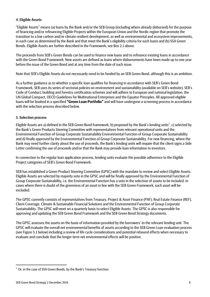#### 4. Eligible Assets

"Eligible Assets" means (a) loans by the Bank and/or the SEB Group (including where already disbursed) for the purpose of financing and/or refinancing Eligible Projects within the European Union and the Nordic region that promote the transition to a low carbon and/or climate resilient development, as well as environmental and ecosystem improvements, in each case as determined by the Bank and that meet the Bank's eligibility criteria for such loans and (b) SSA Green Bonds. Eligible Assets are further described in the Framework, see Box 2.1 above.

The proceeds from SEB's Green Bonds can be used to finance new loans and to refinance existing loans in accordance with the Green Bond Framework. New assets are defined as loans where disbursements have been made up to one year before the issue of the Green Bond and at any time from the date of such issue.

Note that SEB's Eligible Assets do not necessarily need to be funded by an SEB Green Bond, although this is an ambition.

As a further guidance as to whether a specific loan qualifies for financing in accordance with SEB's Green Bond Framework, SEB uses its series of sectorial policies on environment and sustainability (available on SEB's website), SEB's Code of Conduct, building and forestry certification schemes and will adhere to European and national legislation, the UN Global Compact, OECD Guidelines for Multinational Enterprises and the Equator Principles. All approved eligible loans will be booked in a specified **"Green Loan Portfolio"** and will have undergone a screening process in accordance with the selection process described below.

#### 5. Selection process

Eligible Assets are a) defined in the SEB Green Bond framework, b) proposed by the Bank's lending units<sup>1</sup>, c) selected by the Bank's Green Products Steering Committee with representatives from relevant operational units and the Environmental Function of Group Corporate Sustainability Environmental Function of Group Corporate Sustainability and d) finally approved by the Environmental Function of Group Corporate Sustainability. For new financing, where the Bank may need further clarity about the use of proceeds, the Bank's lending units will require that the client signs a Side Letter confirming the use of proceeds and/or that the Bank may provide loan information to investors.

In connection to the regular loan application process, lending units evaluate the possible adherence to the Eligible Project categories of SEB's Green Bond Framework.

SEB has established a Green Product Steering Committee (GPSC) with the mandate to review and select Eligible Assets. Eligible Assets are selected by majority vote in the GPSC and will be finally approved by the Environmental Function of Group Corporate Sustainability, i.e. the Environmental Function has a veto in the selection of assets to be included. In cases where there is doubt of the greenness of an asset in line with the SEB Green Framework, such asset will be excluded.

The GPSC currently consists of representatives from Treasury, Project & Asset Finance (PAF), Real Estate Finance (REF), Client Coverage, Climate & Sustainable Financial Solutions and the Environmental Function of Group Corporate Sustainability. The GPSC will meet on a quarterly basis to select Eligible Assets. The GPSC is also responsible for approving and updating the SEB Green Bond Framework and the SEB Green Bond Strategy documents.

The GPSC assesses the assets on the basis of information provided by the borrowers' to the relevant lending unit. The GPSC will evaluate the overall net environmental benefits of assets according to the SEB Green Loan evaluation process (see Figure 5.1 below) including a review of life cycle considerations and potential rebound effects when necessary to evaluate and conclude that the longer term net environmental effects will be positive.

=================================================

 $1$  Or, in the case of SSA Green Bonds, by the Bank's Treasury function.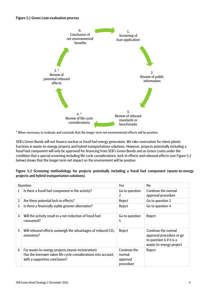#### Figure 5.1 Green Loan evaluation process



\* When necessary to evaluate and conclude that the longer term net environmental effects will be positive.

SEB's Green Bonds will not finance nuclear or fossil fuel energy generation. We take reservation for minor plastic fractions in waste-to-energy projects and hybrid transportations solutions. However, projects potentially including a fossil fuel component will only be approved for financing from SEB's Green Bonds and as Green Loans under the condition that a special screening including life cycle considerations, lock-in effects and rebound effects (see Figure 5.2 below) shows that the longer term net impact on the environment will be positive.

| Figure 5.2 Screening methodology for projects potentially including a fossil fuel component (waste-to-energy |  |  |  |  |
|--------------------------------------------------------------------------------------------------------------|--|--|--|--|
| projects and hybrid transportation solutions)                                                                |  |  |  |  |

|   | Question                                                                                                                                             | Yes                                             | No.                                                                                                    |
|---|------------------------------------------------------------------------------------------------------------------------------------------------------|-------------------------------------------------|--------------------------------------------------------------------------------------------------------|
| 1 | Is there a fossil fuel component in the activity?                                                                                                    | Go to question<br>2                             | Continue the normal<br>approval procedure                                                              |
| 2 | Are there potential lock-in effects?                                                                                                                 | Reject                                          | Go to question 3                                                                                       |
| 3 | Is there a financially viable greener alternative?                                                                                                   | Reject                                          | Go to question 4                                                                                       |
| 4 | Will the activity result in a net reduction of fossil fuel<br>consumed?                                                                              | Go to question<br>5                             | Reject                                                                                                 |
| 5 | Will rebound effects outweigh the advantages of reduced CO <sub>2</sub><br>emissions?                                                                | Reject                                          | Continue the normal<br>approval procedure or go<br>to question 6 if it is a<br>waste-to-energy project |
| 6 | For waste-to-energy projects (waste incineration):<br>Has the borrower taken life cycle considerations into account<br>with a supportive conclusion? | Continue the<br>normal<br>approval<br>procedure | Reject                                                                                                 |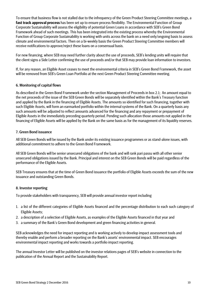To ensure that business flow is not stalled due to the infrequency of the Green Product Steering Committee meetings, a **fast track approval process** has been set up to ensure process flexibility. The Environmental Function of Group Corporate Sustainability will assess the eligibility of potential Green Loans in accordance with SEB's Green Bond Framework ahead of such meetings. This has been integrated into the existing process whereby the Environmental Function of Group Corporate Sustainability is working with units across the bank on a need only/ongoing basis to assess climate and environmental factors. Then on a bi-weekly basis the Green Product Steering Committee members will receive notifications to approve/reject these loans on a consensual basis.

For new financing, where SEB may need further clarity about the use of proceeds, SEB's lending units will require that the client signs a Side Letter confirming the use of proceeds and/or that SEB may provide loan information to investors.

If, for any reason, an Eligible Asset ceases to meet the environmental criteria in SEB's Green Bond Framework, the asset will be removed from SEB's Green Loan Portfolio at the next Green Product Steering Committee meeting.

#### 6. Monitoring of capital flows

As described in the Green Bond Framework under the section Management of Proceeds in box 2.1; An amount equal to the net proceeds of the issue of the SEB Green Bonds will be separately identified within the Bank's Treasury function and applied by the Bank in the financing of Eligible Assets. The amounts so identified for such financing, together with such Eligible Assets, will form an earmarked portfolio within the internal systems of the Bank. On a quarterly basis any such amounts will be adjusted to reflect amounts advanced for the financing and any repayment or prepayment of Eligible Assets in the immediately preceding quarterly period. Pending such allocation those amounts not applied in the financing of Eligible Assets will be applied by the Bank on the same basis as for the management of its liquidity reserves.

#### 7. Green Bond issuance

All SEB Green Bonds will be issued by the Bank under its existing issuance programmes or as stand-alone issues, with additional commitment to adhere to the Green Bond Framework.

All SEB Green Bonds will be senior unsecured obligations of the bank and will rank pari passu with all other senior unsecured obligations issued by the Bank. Principal and interest on the SEB Green Bonds will be paid regardless of the performance of the Eligible Assets.

SEB Treasury ensures that at the time of Green Bond issuance the portfolio of Eligible Assets exceeds the sum of the new issuance and outstanding Green Bonds.

#### 8. Investor reporting

To provide stakeholders with transparency, SEB will provide annual investor report including

- 1. a list of the different categories of Eligible Assets financed and the percentage distribution to each such category of Eligible Assets;
- 2. a description of a selection of Eligible Assets, as examples of the Eligible Assets financed in that year and
- 3. a summary of the Bank's Green Bond development and green financing activities in general.

SEB acknowledges the need for impact reporting and is working actively to develop impact assessment tools and thereby enable and perform a broader reporting on the Bank's assets' environmental impact. SEB encourages environmental impact reporting and works towards a portfolio impact reporting.

The annual Investor Letter will be published on the investor relations pages of SEB's website in connection to the publication of the Annual Report and the Sustainability Report.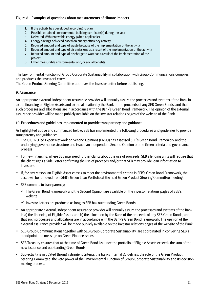#### Figure 8.1 Examples of questions about measurements of climate impacts

- 1. If the activity has developed according to plan
- 2. Possible obtained environmental building certificate(s) during the year
- 3. Delivered kWh renewable energy (when applicable)
- 4. Energy savings achieved based on energy efficiency activity
- 5. Reduced amount and type of waste because of the implementation of the activity
- 6. Reduced amount and type of air emissions as a result of the implementation of the activity
- 7. Reduced amount and type of discharge to water as a result of the implementation of the project
- 8. Other measurable environmental and/or social benefits

The Environmental Function of Group Corporate Sustainability in collaboration with Group Communications compiles and produces the Investor Letters.

The Green Product Steering Committee approves the Investor Letter before publishing.

#### 9. Assurance

An appropriate external, independent assurance provider will annually assure the processes and systems of the Bank in a) the financing of Eligible Assets and b) the allocation by the Bank of the proceeds of any SEB Green Bonds, and that such processes and allocations are in accordance with the Bank's Green Bond Framework. The opinion of the external assurance provider will be made publicly available on the investor relations pages of the website of the Bank.

#### 10. Procedures and guidelines implemented to provide transparency and guidance

As highlighted above and summarized below, SEB has implemented the following procedures and guidelines to provide transparency and guidance:

- The CICERO led Expert Network on Second Opinions (ENSO) has assessed SEB's Green Bond Framework and the underlying governance structure and issued an independent Second Opinion on the Green criteria and governance process
- For new financing, where SEB may need further clarity about the use of proceeds, SEB's lending units will require that the client signs a Side Letter confirming the use of proceeds and/or that SEB may provide loan information to investors.
- If, for any reason, an Eligible Asset ceases to meet the environmental criteria in SEB's Green Bond Framework, the asset will be removed from SEB's Green Loan Portfolio at the next Green Product Steering Committee meeting.
- SEB commits to transparency;
	- $\checkmark$  The Green Bond Framework and the Second Opinion are available on the investor relations pages of SEB's website
	- $\checkmark$  Investor Letters are produced as long as SEB has outstanding Green Bonds
- An appropriate external, independent assurance provider will annually assure the processes and systems of the Bank in a) the financing of Eligible Assets and b) the allocation by the Bank of the proceeds of any SEB Green Bonds, and that such processes and allocations are in accordance with the Bank's Green Bond Framework. The opinion of the external assurance provider will be made publicly available on the investor relations pages of the website of the Bank.
- SEB Group Communications together with SEB Group Corporate Sustainability are coordinated in conveying SEB's standpoint and message on Green Finance issues
- SEB Treasury ensures that at the time of Green Bond issuance the portfolio of Eligible Assets exceeds the sum of the new issuance and outstanding Green Bonds
- Subjectivity is mitigated through stringent criteria, the banks internal guidelines, the role of the Green Product Steering Committee, the veto power of the Environmental Function of Group Corporate Sustainability and its decision making process.